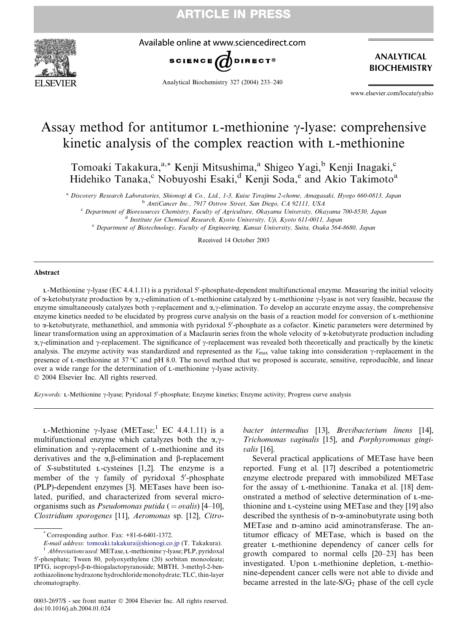



Available online at www.sciencedirect.com



Analytical Biochemistry 327 (2004) 233–240

ANALYTICAL BIOCHEMISTRY

www.elsevier.com/locate/yabio

# Assay method for antitumor  $L$ -methionine  $\gamma$ -lyase: comprehensive kinetic analysis of the complex reaction with L-methionine

Tomoaki Takakura,<sup>a,\*</sup> Kenji Mitsushima,<sup>a</sup> Shigeo Yagi,<sup>b</sup> Kenji Inagaki,<sup>c</sup> Hidehiko Tanaka, $^{\circ}$  Nobuyoshi Esaki, $^{\text{d}}$  Kenji Soda, $^{\circ}$  and Akio Takimoto<sup>a</sup>

<sup>a</sup> Discovery Research Laboratories, Shionogi & Co., Ltd., 1-3, Kuise Terajima 2-chome, Amagasaki, Hyogo 660-0813, Japan

<sup>b</sup> AntiCancer Inc., 7917 Ostrow Street, San Diego, CA 92111, USA

<sup>c</sup> Department of Bioresources Chemistry, Faculty of Agriculture, Okayama University, Okayama 700-8530, Japan <sup>d</sup> Institute for Chemical Research, Kyoto University, Uji, Kyoto 611-0011, Japan

<sup>e</sup> Department of Biotechnology, Faculty of Engineering, Kansai University, Suita, Osaka 564-8680, Japan

Received 14 October 2003

# Abstract

L-Methionine  $\gamma$ -lyase (EC 4.4.1.11) is a pyridoxal 5'-phosphate-dependent multifunctional enzyme. Measuring the initial velocity of  $\alpha$ -ketobutyrate production by  $\alpha$ , $\gamma$ -elimination of L-methionine catalyzed by L-methionine  $\gamma$ -lyase is not very feasible, because the enzyme simultaneously catalyzes both  $\gamma$ -replacement and  $\alpha$ , $\gamma$ -elimination. To develop an accurate enzyme assay, the comprehensive enzyme kinetics needed to be elucidated by progress curve analysis on the basis of a reaction model for conversion of L-methionine to a-ketobutyrate, methanethiol, and ammonia with pyridoxal 5'-phosphate as a cofactor. Kinetic parameters were determined by linear transformation using an approximation of a Maclaurin series from the whole velocity of a-ketobutyrate production including  $\alpha$ , $\gamma$ -elimination and  $\gamma$ -replacement. The significance of  $\gamma$ -replacement was revealed both theoretically and practically by the kinetic analysis. The enzyme activity was standardized and represented as the  $V_{\text{max}}$  value taking into consideration  $\gamma$ -replacement in the presence of L-methionine at 37 C and pH 8.0. The novel method that we proposed is accurate, sensitive, reproducible, and linear over a wide range for the determination of  $L$ -methionine  $\gamma$ -lyase activity.

 $© 2004$  Elsevier Inc. All rights reserved.

Keywords: L-Methionine y-lyase; Pyridoxal 5'-phosphate; Enzyme kinetics; Enzyme activity; Progress curve analysis

L-Methionine  $\gamma$ -lyase (METase;<sup>1</sup> EC 4.4.1.11) is a multifunctional enzyme which catalyzes both the  $\alpha$ , $\gamma$ elimination and  $\gamma$ -replacement of L-methionine and its derivatives and the  $\alpha$ ,  $\beta$ -elimination and  $\beta$ -replacement of S-substituted L-cysteines [1,2]. The enzyme is a member of the  $\gamma$  family of pyridoxal 5'-phosphate (PLP)-dependent enzymes [3]. METases have been isolated, purified, and characterized from several microorganisms such as *Pseudomonas putida* ( $=$  *ovalis*) [4–10], Clostridium sporogenes [11], Aeromonas sp. [12], Citro-

bacter intermedius [13], Brevibacterium linens [14], Trichomonas vaginalis [15], and Porphyromonas gingivalis [16].

Several practical applications of METase have been reported. Fung et al. [17] described a potentiometric enzyme electrode prepared with immobilized METase for the assay of L-methionine. Tanaka et al. [18] demonstrated a method of selective determination of L-methionine and L-cysteine using METase and they [19] also described the synthesis of D-a-aminobutyrate using both METase and D-amino acid aminotransferase. The antitumor efficacy of METase, which is based on the greater L-methionine dependency of cancer cells for growth compared to normal cells [20–23] has been investigated. Upon L-methionine depletion, L-methionine-dependent cancer cells were not able to divide and became arrested in the late- $S/G_2$  phase of the cell cycle

Corresponding author. Fax:  $+81-6-6401-1372$ .

 $E\!-\!mail\;address: to moaki.takakura@shionogi.co.jp$  (T. Takakura). $^1\; Abbreviations used: METase, L-methionine \gamma\!-lyase; PLP, pyridoxal$ 5'-phosphate; Tween 80, polyoxyethylene (20) sorbitan monooleate; IPTG, isopropyl-b-D-thiogalactopyranoside; MBTH, 3-methyl-2-benzothiazolinone hydrazone hydrochloride monohydrate; TLC, thin-layer chromatography.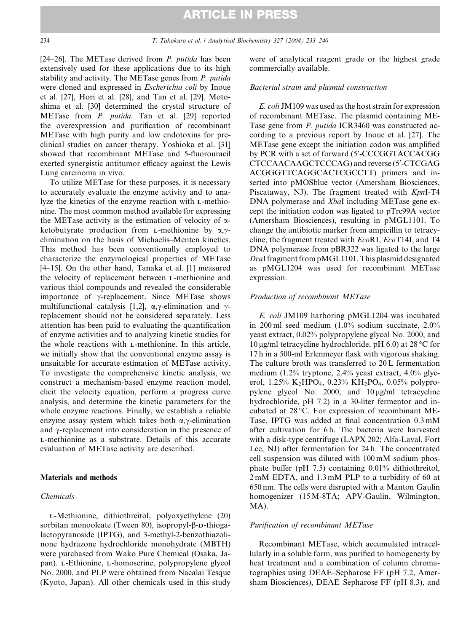[24–26]. The METase derived from  $P$ . putida has been extensively used for these applications due to its high stability and activity. The METase genes from P. putida were cloned and expressed in Escherichia coli by Inoue et al. [27], Hori et al. [28], and Tan et al. [29]. Motoshima et al. [30] determined the crystal structure of METase from P. putida. Tan et al. [29] reported the overexpression and purification of recombinant METase with high purity and low endotoxins for preclinical studies on cancer therapy. Yoshioka et al. [31] showed that recombinant METase and 5-fluorouracil exerted synergistic antitumor efficacy against the Lewis Lung carcinoma in vivo.

To utilize METase for these purposes, it is necessary to accurately evaluate the enzyme activity and to analyze the kinetics of the enzyme reaction with L-methionine. The most common method available for expressing the METase activity is the estimation of velocity of  $\alpha$ ketobutyrate production from L-methionine by  $\alpha$ , $\gamma$ elimination on the basis of Michaelis–Menten kinetics. This method has been conventionally employed to characterize the enzymological properties of METase [4–15]. On the other hand, Tanaka et al. [1] measured the velocity of replacement between L-methionine and various thiol compounds and revealed the considerable importance of  $\gamma$ -replacement. Since METase shows multifunctional catalysis [1,2],  $\alpha$ ,  $\gamma$ -elimination and  $\gamma$ replacement should not be considered separately. Less attention has been paid to evaluating the quantification of enzyme activities and to analyzing kinetic studies for the whole reactions with L-methionine. In this article, we initially show that the conventional enzyme assay is unsuitable for accurate estimation of METase activity. To investigate the comprehensive kinetic analysis, we construct a mechanism-based enzyme reaction model, elicit the velocity equation, perform a progress curve analysis, and determine the kinetic parameters for the whole enzyme reactions. Finally, we establish a reliable enzyme assay system which takes both  $\alpha, \gamma$ -elimination and  $\gamma$ -replacement into consideration in the presence of L-methionine as a substrate. Details of this accurate evaluation of METase activity are described.

#### Materials and methods

# Chemicals

L-Methionine, dithiothreitol, polyoxyethylene (20) sorbitan monooleate (Tween 80), isopropyl- $\beta$ -D-thiogalactopyranoside (IPTG), and 3-methyl-2-benzothiazolinone hydrazone hydrochloride monohydrate (MBTH) were purchased from Wako Pure Chemical (Osaka, Japan). L-Ethionine, L-homoserine, polypropylene glycol No. 2000, and PLP were obtained from Nacalai Tesque (Kyoto, Japan). All other chemicals used in this study were of analytical reagent grade or the highest grade commercially available.

#### Bacterial strain and plasmid construction

E. coli JM109 was used as the host strain for expression of recombinant METase. The plasmid containing ME-Tase gene from P. putida ICR3460 was constructed according to a previous report by Inoue et al. [27]. The METase gene except the initiation codon was amplified by PCR with a set of forward (5'-CCCGGTACCACGG CTCCAACAAGCTCCCAG) and reverse (5'-CTCGAG ACGGGTTCAGGCACTCGCCTT) primers and inserted into pMOSblue vector (Amersham Biosciences, Piscataway, NJ). The fragment treated with KpnI-T4 DNA polymerase and *XbaI* including METase gene except the initiation codon was ligated to pTrc99A vector (Amersham Biosciences), resulting in pMGL1101. To change the antibiotic marker from ampicillin to tetracycline, the fragment treated with EcoRI, EcoT14I, and T4 DNA polymerase from pBR322 was ligated to the large DraI fragment from pMGL1101. This plasmid designated as pMGL1204 was used for recombinant METase expression.

### Production of recombinant METase

E. coli JM109 harboring pMGL1204 was incubated in 200 ml seed medium (1.0% sodium succinate, 2.0% yeast extract, 0.02% polypropylene glycol No. 2000, and 10 µg/ml tetracycline hydrochloride, pH 6.0) at 28 °C for 17 h in a 500-ml Erlenmeyer flask with vigorous shaking. The culture broth was transferred to 20 L fermentation medium (1.2% tryptone, 2.4% yeast extract, 4.0% glycerol,  $1.25\%$  K<sub>2</sub>HPO<sub>4</sub>, 0.23% KH<sub>2</sub>PO<sub>4</sub>, 0.05% polypropylene glycol No. 2000, and  $10 \mu g/ml$  tetracycline hydrochloride, pH 7.2) in a 30-liter fermentor and incubated at  $28^{\circ}$ C. For expression of recombinant ME-Tase, IPTG was added at final concentration 0.3 mM after cultivation for 6 h. The bacteria were harvested with a disk-type centrifuge (LAPX 202; Alfa-Laval, Fort Lee, NJ) after fermentation for 24 h. The concentrated cell suspension was diluted with 100 mM sodium phosphate buffer (pH 7.5) containing 0.01% dithiothreitol, 2 mM EDTA, and 1.3 mM PLP to a turbidity of 60 at 650 nm. The cells were disrupted with a Manton Gaulin homogenizer (15 M-8TA; APV-Gaulin, Wilmington, MA).

### Purification of recombinant METase

Recombinant METase, which accumulated intracellularly in a soluble form, was purified to homogeneity by heat treatment and a combination of column chromatographies using DEAE–Sepharose FF (pH 7.2, Amersham Biosciences), DEAE–Sepharose FF (pH 8.3), and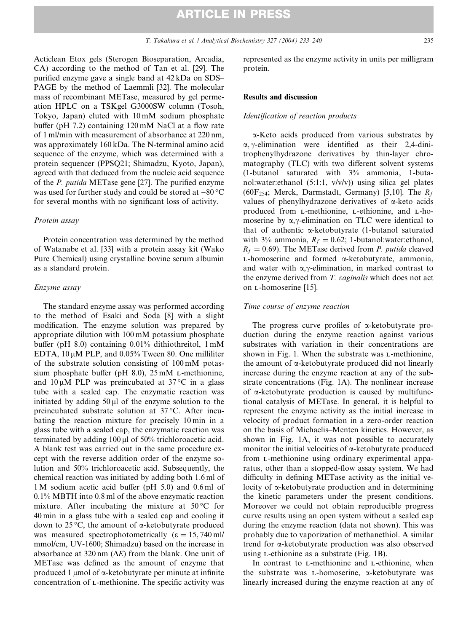Acticlean Etox gels (Sterogen Bioseparation, Arcadia, CA) according to the method of Tan et al. [29]. The purified enzyme gave a single band at 42 kDa on SDS– PAGE by the method of Laemmli [32]. The molecular mass of recombinant METase, measured by gel permeation HPLC on a TSKgel G3000SW column (Tosoh, Tokyo, Japan) eluted with 10 mM sodium phosphate buffer (pH 7.2) containing 120 mM NaCl at a flow rate of 1 ml/min with measurement of absorbance at 220 nm, was approximately 160 kDa. The N-terminal amino acid sequence of the enzyme, which was determined with a protein sequencer (PPSQ21; Shimadzu, Kyoto, Japan), agreed with that deduced from the nucleic acid sequence of the P. putida METase gene [27]. The purified enzyme was used for further study and could be stored at  $-80^{\circ}$ C for several months with no significant loss of activity.

#### Protein assay

Protein concentration was determined by the method of Watanabe et al. [33] with a protein assay kit (Wako Pure Chemical) using crystalline bovine serum albumin as a standard protein.

### Enzyme assay

The standard enzyme assay was performed according to the method of Esaki and Soda [8] with a slight modification. The enzyme solution was prepared by appropriate dilution with 100 mM potassium phosphate buffer (pH 8.0) containing 0.01% dithiothreitol, 1 mM EDTA,  $10 \mu M$  PLP, and  $0.05\%$  Tween 80. One milliliter of the substrate solution consisting of 100 mM potassium phosphate buffer (pH 8.0), 25 mM L-methionine, and  $10 \mu M$  PLP was preincubated at 37 °C in a glass tube with a sealed cap. The enzymatic reaction was initiated by adding  $50 \mu l$  of the enzyme solution to the preincubated substrate solution at 37 °C. After incubating the reaction mixture for precisely 10 min in a glass tube with a sealed cap, the enzymatic reaction was terminated by adding  $100 \mu$ l of  $50\%$  trichloroacetic acid. A blank test was carried out in the same procedure except with the reverse addition order of the enzyme solution and 50% trichloroacetic acid. Subsequently, the chemical reaction was initiated by adding both 1.6 ml of 1 M sodium acetic acid buffer (pH 5.0) and 0.6 ml of 0.1% MBTH into 0.8 ml of the above enzymatic reaction mixture. After incubating the mixture at  $50^{\circ}$ C for 40 min in a glass tube with a sealed cap and cooling it down to  $25^{\circ}$ C, the amount of  $\alpha$ -ketobutyrate produced was measured spectrophotometrically  $(\epsilon = 15, 740 \text{ ml})$ mmol/cm, UV-1600; Shimadzu) based on the increase in absorbance at 320 nm  $(\Delta E)$  from the blank. One unit of METase was defined as the amount of enzyme that produced 1  $\mu$ mol of  $\alpha$ -ketobutyrate per minute at infinite concentration of L-methionine. The specific activity was

represented as the enzyme activity in units per milligram protein.

## Results and discussion

# Identification of reaction products

a-Keto acids produced from various substrates by  $\alpha$ ,  $\gamma$ -elimination were identified as their 2,4-dinitrophenylhydrazone derivatives by thin-layer chromatography (TLC) with two different solvent systems (1-butanol saturated with 3% ammonia, 1-butanol:water:ethanol (5:1:1, v/v/v)) using silica gel plates (60F<sub>254</sub>; Merck, Darmstadt, Germany) [5,10]. The  $R_f$ values of phenylhydrazone derivatives of a-keto acids produced from L-methionine, L-ethionine, and L-homoserine by  $\alpha$ , $\gamma$ -elimination on TLC were identical to that of authentic a-ketobutyrate (1-butanol saturated with 3% ammonia,  $R_f = 0.62$ ; 1-butanol:water:ethanol,  $R_f = 0.69$ ). The METase derived from *P. putida* cleaved L-homoserine and formed a-ketobutyrate, ammonia, and water with  $\alpha$ , $\gamma$ -elimination, in marked contrast to the enzyme derived from T. vaginalis which does not act on L-homoserine [15].

# Time course of enzyme reaction

The progress curve profiles of  $\alpha$ -ketobutyrate production during the enzyme reaction against various substrates with variation in their concentrations are shown in Fig. 1. When the substrate was L-methionine, the amount of a-ketobutyrate produced did not linearly increase during the enzyme reaction at any of the substrate concentrations (Fig. 1A). The nonlinear increase of a-ketobutyrate production is caused by multifunctional catalysis of METase. In general, it is helpful to represent the enzyme activity as the initial increase in velocity of product formation in a zero-order reaction on the basis of Michaelis–Menten kinetics. However, as shown in Fig. 1A, it was not possible to accurately monitor the initial velocities of  $\alpha$ -ketobutyrate produced from L-methionine using ordinary experimental apparatus, other than a stopped-flow assay system. We had difficulty in defining METase activity as the initial velocity of a-ketobutyrate production and in determining the kinetic parameters under the present conditions. Moreover we could not obtain reproducible progress curve results using an open system without a sealed cap during the enzyme reaction (data not shown). This was probably due to vaporization of methanethiol. A similar trend for a-ketobutyrate production was also observed using L-ethionine as a substrate (Fig. 1B).

In contrast to L-methionine and L-ethionine, when the substrate was  $L$ -homoserine,  $\alpha$ -ketobutyrate was linearly increased during the enzyme reaction at any of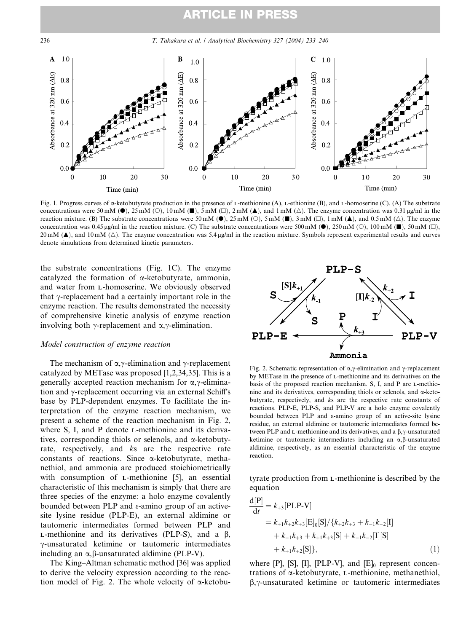# ARTICLE IN PRESS

236 T. Takakura et al. / Analytical Biochemistry 327 (2004) 233–240



Fig. 1. Progress curves of a-ketobutyrate production in the presence of L-methionine (A), L-ethionine (B), and L-homoserine (C). (A) The substrate concentrations were 50 mM ( $\bullet$ ), 25 mM ( $\circ$ ), 10 mM ( $\blacksquare$ ), 5 mM ( $\Box$ ), 2 mM ( $\blacktriangle$ ), and 1 mM ( $\triangle$ ). The enzyme concentration was 0.31 µg/ml in the reaction mixture. (B) The substrate concentrations were 50 mM ( $\bullet$ ), 25 mM ( $\circ$ ), 5 mM ( $\bullet$ ), 3 mM ( $\circ$ ), 1 mM ( $\blacktriangle$ ), and 0.5 mM ( $\triangle$ ). The enzyme concentration was 0.45 µg/ml in the reaction mixture. (C) The substrate concentrations were 500 mM ( $\bullet$ ), 250 mM ( $\circ$ ), 100 mM ( $\bullet$ ), 50 mM ( $\Box$ ), 20 mM ( $\blacktriangle$ ), and 10 mM ( $\triangle$ ). The enzyme concentration was 5.4 µg/ml in the reaction mixture. Symbols represent experimental results and curves denote simulations from determined kinetic parameters.

the substrate concentrations (Fig. 1C). The enzyme catalyzed the formation of a-ketobutyrate, ammonia, and water from L-homoserine. We obviously observed that  $\gamma$ -replacement had a certainly important role in the enzyme reaction. The results demonstrated the necessity of comprehensive kinetic analysis of enzyme reaction involving both  $\gamma$ -replacement and  $\alpha, \gamma$ -elimination.

# Model construction of enzyme reaction

The mechanism of  $\alpha, \gamma$ -elimination and  $\gamma$ -replacement catalyzed by METase was proposed [1,2,34,35]. This is a generally accepted reaction mechanism for  $\alpha$ ,  $\gamma$ -elimination and  $\gamma$ -replacement occurring via an external Schiff's base by PLP-dependent enzymes. To facilitate the interpretation of the enzyme reaction mechanism, we present a scheme of the reaction mechanism in Fig. 2, where S, I, and P denote L-methionine and its derivatives, corresponding thiols or selenols, and  $\alpha$ -ketobutyrate, respectively, and ks are the respective rate constants of reactions. Since  $\alpha$ -ketobutyrate, methanethiol, and ammonia are produced stoichiometrically with consumption of *L*-methionine [5], an essential characteristic of this mechanism is simply that there are three species of the enzyme: a holo enzyme covalently bounded between PLP and  $\varepsilon$ -amino group of an activesite lysine residue (PLP-E), an external aldimine or tautomeric intermediates formed between PLP and  $L$ -methionine and its derivatives (PLP-S), and a  $\beta$ ,  $\gamma$ -unsaturated ketimine or tautomeric intermediates including an  $\alpha$ ,  $\beta$ -unsaturated aldimine (PLP-V).

The King–Altman schematic method [36] was applied to derive the velocity expression according to the reaction model of Fig. 2. The whole velocity of  $\alpha$ -ketobu-



Fig. 2. Schematic representation of  $\alpha$ , $\gamma$ -elimination and  $\gamma$ -replacement by METase in the presence of L-methionine and its derivatives on the basis of the proposed reaction mechanism. S, I, and P are L-methionine and its derivatives, corresponding thiols or selenols, and  $\alpha$ -ketobutyrate, respectively, and ks are the respective rate constants of reactions. PLP-E, PLP-S, and PLP-V are a holo enzyme covalently bounded between PLP and e-amino group of an active-site lysine residue, an external aldimine or tautomeric intermediates formed between PLP and  $L$ -methionine and its derivatives, and a  $\beta$ , $\gamma$ -unsaturated ketimine or tautomeric intermediates including an  $\alpha$ ,  $\beta$ -unsaturated aldimine, respectively, as an essential characteristic of the enzyme reaction.

tyrate production from L-methionine is described by the equation

$$
\frac{d[P]}{dt} = k_{+3}[PLP-V] \n= k_{+1}k_{+2}k_{+3}[E]_{0}[S]/\{k_{+2}k_{+3} + k_{-1}k_{-2}[I] \n+ k_{-1}k_{+3} + k_{+1}k_{+3}[S] + k_{+1}k_{-2}[I][S] \n+ k_{+1}k_{+2}[S]\},
$$
\n(1)

where  $[P]$ ,  $[S]$ ,  $[I]$ ,  $[PLP-V]$ , and  $[E]_0$  represent concentrations of a-ketobutyrate, L-methionine, methanethiol,  $\beta$ , $\gamma$ -unsaturated ketimine or tautomeric intermediates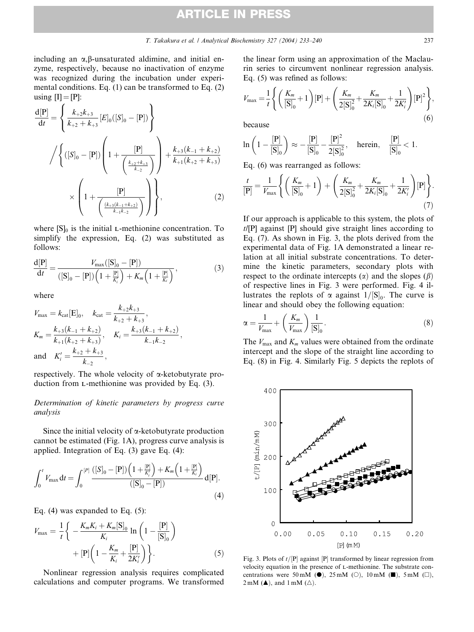including an  $\alpha$ ,  $\beta$ -unsaturated aldimine, and initial enzyme, respectively, because no inactivation of enzyme was recognized during the incubation under experimental conditions. Eq. (1) can be transformed to Eq. (2) using  $[I] = [P]$ :

$$
\frac{d[P]}{dt} = \left\{ \frac{k_{+2}k_{+3}}{k_{+2} + k_{+3}} [E]_0([S]_0 - [P]) \right\}
$$

$$
/ \left\{ ([S]_0 - [P]) \left( 1 + \frac{[P]}{\left( \frac{k_{+2} + k_{+3}}{k_{-2}} \right)} \right) + \frac{k_{+3}(k_{-1} + k_{+2})}{k_{+1}(k_{+2} + k_{+3})} \right\}
$$

$$
\times \left( 1 + \frac{[P]}{\left( \frac{(k_{+3}(k_{-1} + k_{+2})}{k_{-1}k_{-2}} \right)} \right) \right\}, \tag{2}
$$

where  $[S]_0$  is the initial *L*-methionine concentration. To simplify the expression, Eq. (2) was substituted as follows:

$$
\frac{d[P]}{dt} = \frac{V_{\text{max}}([S]_0 - [P])}{([S]_0 - [P])\left(1 + \frac{[P]}{K_i'}\right) + K_m\left(1 + \frac{[P]}{K_i}\right)},\tag{3}
$$

where

$$
V_{\text{max}} = k_{\text{cat}}[E]_0, \quad k_{\text{cat}} = \frac{k_{+2}k_{+3}}{k_{+2} + k_{+3}},
$$
  
\n
$$
K_m = \frac{k_{+3}(k_{-1} + k_{+2})}{k_{+1}(k_{+2} + k_{+3})}, \quad K_i = \frac{k_{+3}(k_{-1} + k_{+2})}{k_{-1}k_{-2}},
$$
  
\nand 
$$
K_i' = \frac{k_{+2} + k_{+3}}{k_{-2}},
$$

respectively. The whole velocity of  $\alpha$ -ketobutyrate production from L-methionine was provided by Eq. (3).

# Determination of kinetic parameters by progress curve analysis

Since the initial velocity of  $\alpha$ -ketobutyrate production cannot be estimated (Fig. 1A), progress curve analysis is applied. Integration of Eq. (3) gave Eq. (4):

$$
\int_0^t V_{\max} dt = \int_0^{[P]} \frac{([S]_0 - [P]) (1 + \frac{[P]}{K_i'}) + K_m (1 + \frac{[P]}{K_i})}{([S]_0 - [P])} d[P].
$$
\n(4)

Eq. (4) was expanded to Eq. (5):

$$
V_{\max} = \frac{1}{t} \left\{ -\frac{K_m K_i + K_m[\mathbf{S}]_0}{K_i} \ln \left( 1 - \frac{[\mathbf{P}]}{[\mathbf{S}]_0} \right) + [\mathbf{P}] \left( 1 - \frac{K_m}{K_i} + \frac{[\mathbf{P}]}{2K'_i} \right) \right\}.
$$
 (5)

Nonlinear regression analysis requires complicated calculations and computer programs. We transformed the linear form using an approximation of the Maclaurin series to circumvent nonlinear regression analysis. Eq. (5) was refined as follows:

$$
V_{\text{max}} = \frac{1}{t} \left\{ \left( \frac{K_m}{[\mathbf{S}]_0} + 1 \right) [\mathbf{P}] + \left( \frac{K_m}{2[\mathbf{S}]_0^2} + \frac{K_m}{2K_i[\mathbf{S}]_0} + \frac{1}{2K_i'} \right) [\mathbf{P}]^2 \right\},\,
$$
because (6)

$$
\ln\left(1-\frac{[P]}{[S]_0}\right)\approx-\frac{[P]}{[S]_0}-\frac{[P]^2}{2[S]_0^2},\quad \text{herein},\quad \frac{[P]}{[S]_0}<1.
$$

Eq. (6) was rearranged as follows:

$$
\frac{t}{[\mathbf{P}]} = \frac{1}{V_{\text{max}}} \left\{ \left( \frac{K_m}{[\mathbf{S}]_0} + 1 \right) + \left( \frac{K_m}{2[\mathbf{S}]_0^2} + \frac{K_m}{2K_i[\mathbf{S}]_0} + \frac{1}{2K_i'} \right) [\mathbf{P}] \right\}.
$$
\n(7)

If our approach is applicable to this system, the plots of  $t/[\mathbf{P}]$  against  $[\mathbf{P}]$  should give straight lines according to Eq. (7). As shown in Fig. 3, the plots derived from the experimental data of Fig. 1A demonstrated a linear relation at all initial substrate concentrations. To determine the kinetic parameters, secondary plots with respect to the ordinate intercepts ( $\alpha$ ) and the slopes ( $\beta$ ) of respective lines in Fig. 3 were performed. Fig. 4 illustrates the replots of  $\alpha$  against  $1/[S]_0$ . The curve is linear and should obey the following equation:

$$
\alpha = \frac{1}{V_{\text{max}}} + \left(\frac{K_m}{V_{\text{max}}}\right) \frac{1}{[\mathbf{S}]_0}.\tag{8}
$$

The  $V_{\text{max}}$  and  $K_m$  values were obtained from the ordinate intercept and the slope of the straight line according to Eq. (8) in Fig. 4. Similarly Fig. 5 depicts the replots of



Fig. 3. Plots of  $t/[P]$  against  $[P]$  transformed by linear regression from velocity equation in the presence of L-methionine. The substrate concentrations were 50 mM ( $\bullet$ ), 25 mM ( $\circ$ ), 10 mM ( $\blacksquare$ ), 5 mM ( $\Box$ ),  $2 \text{ mM } (\triangle)$ , and  $1 \text{ mM } (\triangle)$ .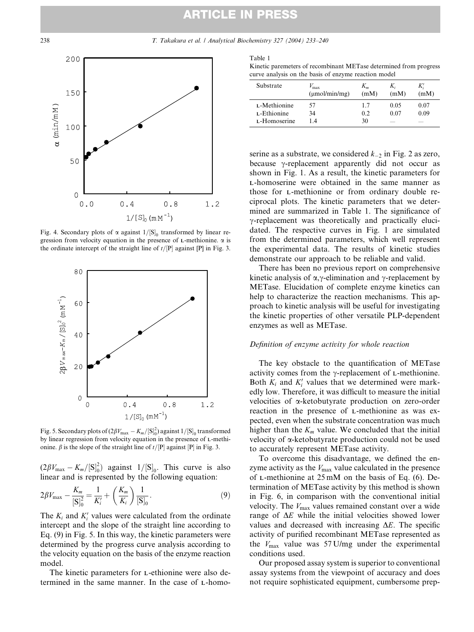# ARTICLE IN PRESS



Fig. 4. Secondary plots of  $\alpha$  against  $1/[S]_0$  transformed by linear regression from velocity equation in the presence of  $L$ -methionine.  $\alpha$  is the ordinate intercept of the straight line of  $t/[P]$  against  $[P]$  in Fig. 3.



Fig. 5. Secondary plots of  $(2\beta V_{\text{max}} - K_m/[S]_0^2)$  against  $1/[S]_0$  transformed by linear regression from velocity equation in the presence of L-methionine.  $\beta$  is the slope of the straight line of  $t/[P]$  against  $[P]$  in Fig. 3.

 $(2\beta V_{\text{max}} - K_m/[\text{S}]_0^2)$  against  $1/[\text{S}]_0$ . This curve is also linear and is represented by the following equation:

$$
2\beta V_{\text{max}} - \frac{K_m}{[\mathbf{S}]_0^2} = \frac{1}{K_i'} + \left(\frac{K_m}{K_i}\right) \frac{1}{[\mathbf{S}]_0}.\tag{9}
$$

The  $K_i$  and  $K'_i$  values were calculated from the ordinate intercept and the slope of the straight line according to Eq. (9) in Fig. 5. In this way, the kinetic parameters were determined by the progress curve analysis according to the velocity equation on the basis of the enzyme reaction model.

The kinetic parameters for L-ethionine were also determined in the same manner. In the case of L-homo-

| I |  |
|---|--|

Kinetic paremeters of recombinant METase determined from progress curve analysis on the basis of enzyme reaction model

| Substrate    | $V_{\rm max}$<br>$(\mu \text{mol/min/mg})$ | $K_m$<br>(mM) | $K_i$<br>(mM)            | K',<br>(mM) |
|--------------|--------------------------------------------|---------------|--------------------------|-------------|
| L-Methionine | 57                                         | 17            | 0.05                     | 0.07        |
| L-Ethionine  | 34                                         | 0.2           | 0.07                     | 0.09        |
| L-Homoserine | 14                                         | 30            | $\overline{\phantom{a}}$ |             |

serine as a substrate, we considered  $k_{-2}$  in Fig. 2 as zero, because  $\gamma$ -replacement apparently did not occur as shown in Fig. 1. As a result, the kinetic parameters for L-homoserine were obtained in the same manner as those for L-methionine or from ordinary double reciprocal plots. The kinetic parameters that we determined are summarized in Table 1. The significance of  $\gamma$ -replacement was theoretically and practically elucidated. The respective curves in Fig. 1 are simulated from the determined parameters, which well represent the experimental data. The results of kinetic studies demonstrate our approach to be reliable and valid.

There has been no previous report on comprehensive kinetic analysis of  $\alpha$ , $\gamma$ -elimination and  $\gamma$ -replacement by METase. Elucidation of complete enzyme kinetics can help to characterize the reaction mechanisms. This approach to kinetic analysis will be useful for investigating the kinetic properties of other versatile PLP-dependent enzymes as well as METase.

### Definition of enzyme activity for whole reaction

The key obstacle to the quantification of METase activity comes from the  $\gamma$ -replacement of L-methionine. Both  $K_i$  and  $K'_i$  values that we determined were markedly low. Therefore, it was difficult to measure the initial velocities of a-ketobutyrate production on zero-order reaction in the presence of L-methionine as was expected, even when the substrate concentration was much higher than the  $K_m$  value. We concluded that the initial velocity of a-ketobutyrate production could not be used to accurately represent METase activity.

To overcome this disadvantage, we defined the enzyme activity as the  $V_{\text{max}}$  value calculated in the presence of L-methionine at 25 mM on the basis of Eq. (6). Determination of METase activity by this method is shown in Fig. 6, in comparison with the conventional initial velocity. The  $V_{\text{max}}$  values remained constant over a wide range of  $\Delta E$  while the initial velocities showed lower values and decreased with increasing  $\Delta E$ . The specific activity of purified recombinant METase represented as the  $V_{\text{max}}$  value was 57 U/mg under the experimental conditions used.

Our proposed assay system is superior to conventional assay systems from the viewpoint of accuracy and does not require sophisticated equipment, cumbersome prep-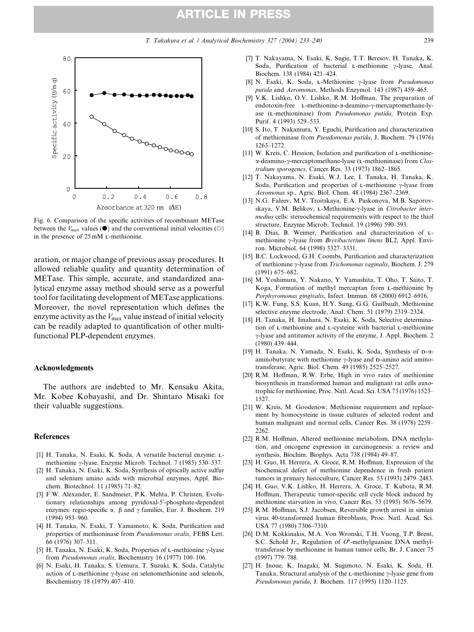# ARTICLE IN PRESS



Fig. 6. Comparison of the specific activities of recombinant METase between the  $V_{\text{max}}$  values ( $\bullet$ ) and the conventional initial velocities ( $\circ$ ) in the presence of 25 mM L-methionine.

aration, or major change of previous assay procedures. It allowed reliable quality and quantity determination of METase. This simple, accurate, and standardized analytical enzyme assay method should serve as a powerful tool for facilitating development of METase applications. Moreover, the novel representation which defines the enzyme activity as the  $V_{\text{max}}$  value instead of initial velocity can be readily adapted to quantification of other multifunctional PLP-dependent enzymes.

#### Acknowledgments

The authors are indebted to Mr. Kensaku Akita, Mr. Kobee Kobayashi, and Dr. Shintaro Misaki for their valuable suggestions.

## References

- [1] H. Tanaka, N. Esaki, K. Soda, A versatile bacterial enzyme: Lmethionine  $\gamma$ -lyase, Enzyme Microb. Technol. 7 (1985) 530–537.
- [2] H. Tanaka, N. Esaki, K. Soda, Synthesis of optically active sulfur and selenium amino acids with microbial enzymes, Appl. Biochem. Biotechnol. 11 (1985) 71–82.
- [3] F.W. Alexander, E. Sandmeier, P.K. Mehta, P. Christen, Evolutionary relationships among pyridoxal-5'-phosphate-dependent enzymes: regio-specific  $\alpha$ ,  $\beta$  and  $\gamma$  families, Eur. J. Biochem. 219 (1994) 953–960.
- [4] H. Tanaka, N. Esaki, T. Yamamoto, K. Soda, Purification and properties of methioninase from Pseudomonas ovalis, FEBS Lett. 66 (1976) 307–311.
- [5] H. Tanaka, N. Esaki, K. Soda, Properties of  $L$ -methionine  $\gamma$ -lyase from Pseudomonas ovalis, Biochemistry 16 (1977) 100–106.
- [6] N. Esaki, H. Tanaka, S. Uemura, T. Suzuki, K. Soda, Catalytic action of  $L$ -methionine  $\gamma$ -lyase on selenomethionine and selenols, Biochemistry 18 (1979) 407–410.
- [7] T. Nakayama, N. Esaki, K. Sugie, T.T. Beresov, H. Tanaka, K. Soda, Purification of bacterial L-methionine  $\gamma$ -lyase, Anal. Biochem. 138 (1984) 421–424.
- [8] N. Esaki, K. Soda, L-Methionine  $\gamma$ -lyase from *Pseudomonas* putida and Aeromonas, Methods Enzymol. 143 (1987) 459–465.
- [9] V.K. Lishko, O.V. Lishko, R.M. Hoffman, The preparation of endotoxin-free L-methionine- $\alpha$ -deamino- $\gamma$ -mercaptomethane-lyase (L-methioninase) from Pseudomonas putida, Protein Exp. Purif. 4 (1993) 529–533.
- [10] S. Ito, T. Nakamura, Y. Eguchi, Purification and characterization of methioninase from Pseudomonas putida, J. Biochem. 79 (1976) 1263–1272.
- [11] W. Kreis, C. Hession, Isolation and purification of L-methionine- $\alpha$ -deamino- $\gamma$ -mercaptomethane-lyase (L-methioninase) from Clostridium sporogenes, Cancer Res. 33 (1973) 1862–1865.
- [12] T. Nakayama, N. Esaki, W.J. Lee, I. Tanaka, H. Tanaka, K. Soda, Purification and properties of L-methionine  $\gamma$ -lyase from Aeromonas sp., Agric. Biol. Chem. 48 (1984) 2367–2369.
- [13] N.G. Faleev, M.V. Troitskaya, E.A. Paskonova, M.B. Saporovskaya, V.M. Belikov, L-Methionine-y-lyase in Citrobacter intermedius cells: stereochemical requirements with respect to the thiol structure, Enzyme Microb. Technol. 19 (1996) 590–593.
- [14] B. Dias, B. Weimer, Purification and characterization of Lmethionine  $\gamma$ -lyase from *Brevibacterium linens* BL2, Appl. Environ. Microbiol. 64 (1998) 3327–3331.
- [15] B.C. Lockwood, G.H. Coombs, Purification and characterization of methionine  $\gamma$ -lyase from Trichomonas vaginalis, Biochem. J. 279 (1991) 675–682.
- [16] M. Yoshimura, Y. Nakano, Y. Yamashita, T. Oho, T. Saito, T. Koga, Formation of methyl mercaptan from L-methionine by Porphyromonas gingivalis, Infect. Immun. 68 (2000) 6912–6916.
- [17] K.W. Fung, S.S. Kuan, H.Y. Sung, G.G. Guilbault, Methionine selective enzyme electrode, Anal. Chem. 51 (1979) 2319–2324.
- [18] H. Tanaka, H. Imahara, N. Esaki, K. Soda, Selective determination of L-methionine and L-cysteine with bacterial L-methionine  $\gamma$ -lyase and antitumor activity of the enzyme, J. Appl. Biochem. 2 (1980) 439–444.
- [19] H. Tanaka, N. Yamada, N. Esaki, K. Soda, Synthesis of D-aaminobutyrate with methionine  $\gamma$ -lyase and D-amino acid aminotransferase, Agric. Biol. Chem. 49 (1985) 2525–2527.
- [20] R.M. Hoffman, R.W. Erbe, High in vivo rates of methionine biosynthesis in transformed human and malignant rat cells auxotrophic for methionine, Proc. Natl. Acad. Sci. USA 73 (1976) 1523– 1527.
- [21] W. Kreis, M. Goodenow, Methionine requirement and replacement by homocysteine in tissue cultures of selected rodent and human malignant and normal cells, Cancer Res. 38 (1978) 2259– 2262
- [22] R.M. Hoffman, Altered methionine metabolism, DNA methylation, and oncogene expression in carcinogenesis: a review and synthesis, Biochim. Biophys. Acta 738 (1984) 49–87.
- [23] H. Guo, H. Herrera, A. Groce, R.M. Hoffman, Expression of the biochemical defect of methionine dependence in fresh patient tumors in primary histoculture, Cancer Res. 53 (1993) 2479–2483.
- [24] H. Guo, V.K. Lishko, H. Herrera, A. Groce, T. Kubota, R.M. Hoffman, Therapeutic tumor-specific cell cycle block induced by methionine starvation in vivo, Cancer Res. 53 (1993) 5676–5679.
- [25] R.M. Hoffman, S.J. Jacobsen, Reversible growth arrest in simian virus 40-transformed human fibroblasts, Proc. Natl. Acad. Sci. USA 77 (1980) 7306–7310.
- [26] D.M. Kokkinakis, M.A. Von Wronski, T.H. Vuong, T.P. Brent, S.C. Schold Jr., Regulation of  $O^6$ -methylguanine DNA methyltransferase by methionine in human tumor cells, Br. J. Cancer 75 (1997) 779–788.
- [27] H. Inoue, K. Inagaki, M. Sugimoto, N. Esaki, K. Soda, H. Tanaka, Structural analysis of the  $L$ -methionine  $\gamma$ -lyase gene from Pseudomonas putida, J. Biochem. 117 (1995) 1120–1125.